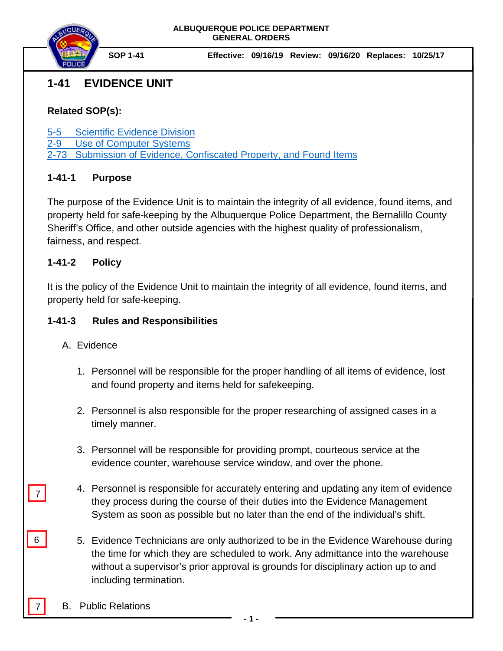

## **1-41 EVIDENCE UNIT**

### **Related SOP(s):**

- [5-5 Scientific Evidence Division](https://powerdms.com/link/IDS/document/?id=398859)
- [2-9 Use of Computer Systems](https://powerdms.com/link/IDS/document/?id=61)

[2-73 Submission of Evidence, Confiscated Property, and Found Items](https://powerdms.com/link/IDS/document/?id=88)

## **1-41-1 Purpose**

The purpose of the Evidence Unit is to maintain the integrity of all evidence, found items, and property held for safe-keeping by the Albuquerque Police Department, the Bernalillo County Sheriff's Office, and other outside agencies with the highest quality of professionalism, fairness, and respect.

## **1-41-2 Policy**

It is the policy of the Evidence Unit to maintain the integrity of all evidence, found items, and property held for safe-keeping.

### **1-41-3 Rules and Responsibilities**

- A. Evidence
	- 1. Personnel will be responsible for the proper handling of all items of evidence, lost and found property and items held for safekeeping.
	- 2. Personnel is also responsible for the proper researching of assigned cases in a timely manner.
	- 3. Personnel will be responsible for providing prompt, courteous service at the evidence counter, warehouse service window, and over the phone.
	- 4. Personnel is responsible for accurately entering and updating any item of evidence they process during the course of their duties into the Evidence Management System as soon as possible but no later than the end of the individual's shift.
	- 5. Evidence Technicians are only authorized to be in the Evidence Warehouse during the time for which they are scheduled to work. Any admittance into the warehouse without a supervisor's prior approval is grounds for disciplinary action up to and including termination.
- B. Public Relations

6

7

7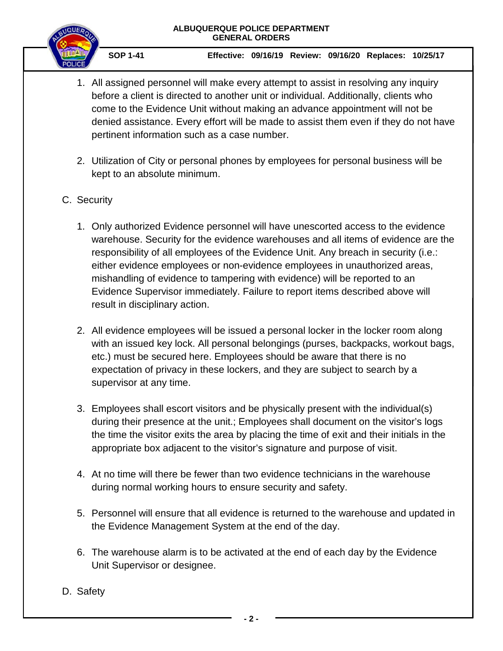

**SOP 1-41 Effective: 09/16/19 Review: 09/16/20 Replaces: 10/25/17**

- 1. All assigned personnel will make every attempt to assist in resolving any inquiry before a client is directed to another unit or individual. Additionally, clients who come to the Evidence Unit without making an advance appointment will not be denied assistance. Every effort will be made to assist them even if they do not have pertinent information such as a case number.
- 2. Utilization of City or personal phones by employees for personal business will be kept to an absolute minimum.

## C. Security

- 1. Only authorized Evidence personnel will have unescorted access to the evidence warehouse. Security for the evidence warehouses and all items of evidence are the responsibility of all employees of the Evidence Unit. Any breach in security (i.e.: either evidence employees or non-evidence employees in unauthorized areas, mishandling of evidence to tampering with evidence) will be reported to an Evidence Supervisor immediately. Failure to report items described above will result in disciplinary action.
- 2. All evidence employees will be issued a personal locker in the locker room along with an issued key lock. All personal belongings (purses, backpacks, workout bags, etc.) must be secured here. Employees should be aware that there is no expectation of privacy in these lockers, and they are subject to search by a supervisor at any time.
- 3. Employees shall escort visitors and be physically present with the individual(s) during their presence at the unit.; Employees shall document on the visitor's logs the time the visitor exits the area by placing the time of exit and their initials in the appropriate box adjacent to the visitor's signature and purpose of visit.
- 4. At no time will there be fewer than two evidence technicians in the warehouse during normal working hours to ensure security and safety.
- 5. Personnel will ensure that all evidence is returned to the warehouse and updated in the Evidence Management System at the end of the day.
- 6. The warehouse alarm is to be activated at the end of each day by the Evidence Unit Supervisor or designee.
- D. Safety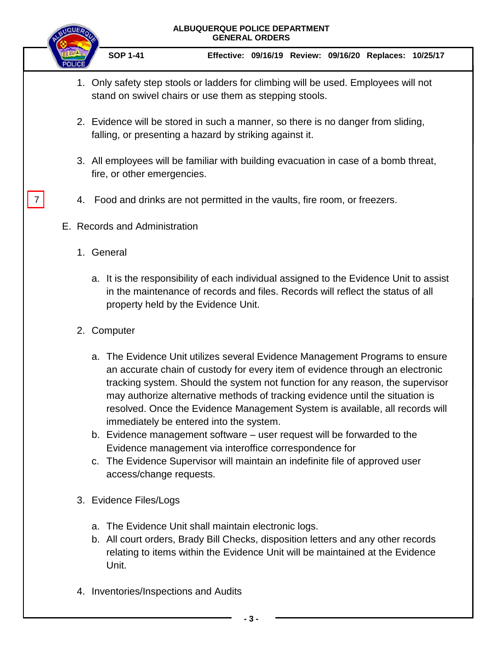# **ALBUQUERQUE POLICE DEPARTMENT GENERAL ORDERS SOP 1-41 Effective: 09/16/19 Review: 09/16/20 Replaces: 10/25/17** 1. Only safety step stools or ladders for climbing will be used. Employees will not stand on swivel chairs or use them as stepping stools. 2. Evidence will be stored in such a manner, so there is no danger from sliding, falling, or presenting a hazard by striking against it.

3. All employees will be familiar with building evacuation in case of a bomb threat,

4. Food and drinks are not permitted in the vaults, fire room, or freezers.

- 
- 4. Inventories/Inspections and Audits
- a. The Evidence Unit shall maintain electronic logs. b. All court orders, Brady Bill Checks, disposition letters and any other records relating to items within the Evidence Unit will be maintained at the Evidence
- c. The Evidence Supervisor will maintain an indefinite file of approved user access/change requests.

b. Evidence management software – user request will be forwarded to the

Evidence management via interoffice correspondence for

- 
- 3. Evidence Files/Logs

Unit.

2. Computer

1. General

7

a. It is the responsibility of each individual assigned to the Evidence Unit to assist in the maintenance of records and files. Records will reflect the status of all property held by the Evidence Unit.

a. The Evidence Unit utilizes several Evidence Management Programs to ensure an accurate chain of custody for every item of evidence through an electronic tracking system. Should the system not function for any reason, the supervisor may authorize alternative methods of tracking evidence until the situation is resolved. Once the Evidence Management System is available, all records will

- 
- 

immediately be entered into the system.

fire, or other emergencies.

E. Records and Administration

**- 3 -**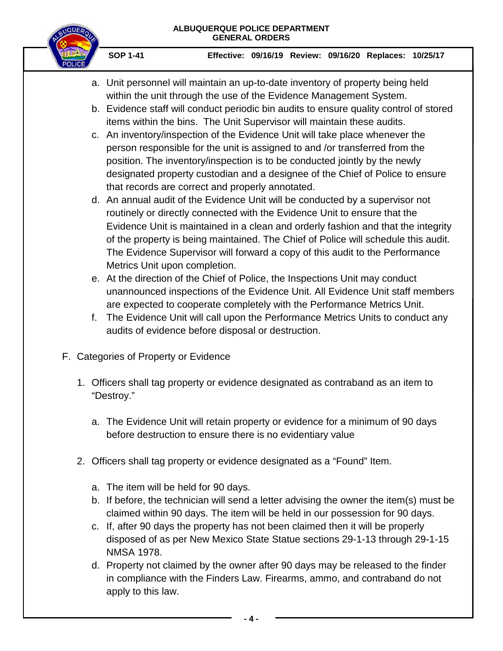

**SOP 1-41 Effective: 09/16/19 Review: 09/16/20 Replaces: 10/25/17**

- a. Unit personnel will maintain an up-to-date inventory of property being held within the unit through the use of the Evidence Management System.
- b. Evidence staff will conduct periodic bin audits to ensure quality control of stored items within the bins. The Unit Supervisor will maintain these audits.
- c. An inventory/inspection of the Evidence Unit will take place whenever the person responsible for the unit is assigned to and /or transferred from the position. The inventory/inspection is to be conducted jointly by the newly designated property custodian and a designee of the Chief of Police to ensure that records are correct and properly annotated.
- d. An annual audit of the Evidence Unit will be conducted by a supervisor not routinely or directly connected with the Evidence Unit to ensure that the Evidence Unit is maintained in a clean and orderly fashion and that the integrity of the property is being maintained. The Chief of Police will schedule this audit. The Evidence Supervisor will forward a copy of this audit to the Performance Metrics Unit upon completion.
- e. At the direction of the Chief of Police, the Inspections Unit may conduct unannounced inspections of the Evidence Unit. All Evidence Unit staff members are expected to cooperate completely with the Performance Metrics Unit.
- f. The Evidence Unit will call upon the Performance Metrics Units to conduct any audits of evidence before disposal or destruction.
- F. Categories of Property or Evidence
	- 1. Officers shall tag property or evidence designated as contraband as an item to "Destroy."
		- a. The Evidence Unit will retain property or evidence for a minimum of 90 days before destruction to ensure there is no evidentiary value
	- 2. Officers shall tag property or evidence designated as a "Found" Item.
		- a. The item will be held for 90 days.
		- b. If before, the technician will send a letter advising the owner the item(s) must be claimed within 90 days. The item will be held in our possession for 90 days.
		- c. If, after 90 days the property has not been claimed then it will be properly disposed of as per New Mexico State Statue sections 29-1-13 through 29-1-15 NMSA 1978.
		- d. Property not claimed by the owner after 90 days may be released to the finder in compliance with the Finders Law. Firearms, ammo, and contraband do not apply to this law.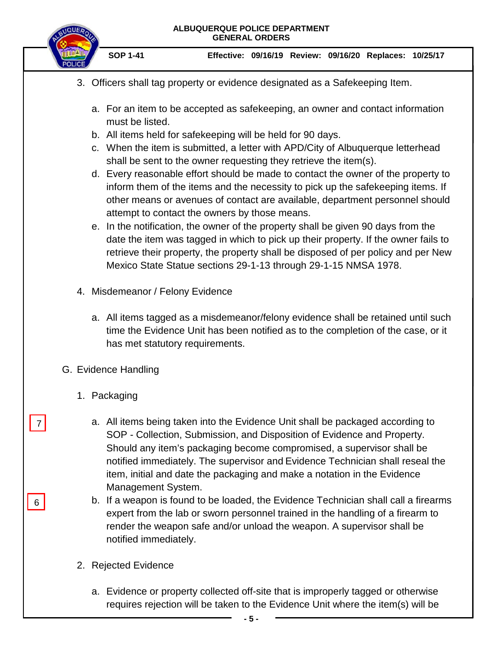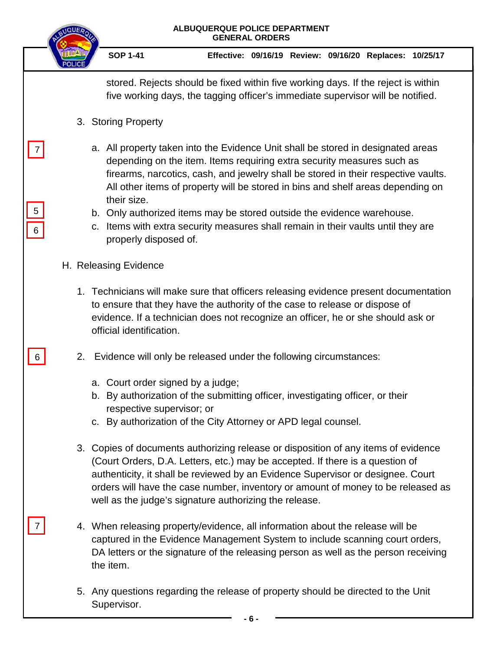| ALBUQUERQUE POLICE DEPARTMENT<br><b>GENERAL ORDERS</b> |                                                                                                                                                                                                                                                                                     |                                                                                                                                                                                                                                                                                                                                                                                                      |  |  |  |  |                                                         |  |  |
|--------------------------------------------------------|-------------------------------------------------------------------------------------------------------------------------------------------------------------------------------------------------------------------------------------------------------------------------------------|------------------------------------------------------------------------------------------------------------------------------------------------------------------------------------------------------------------------------------------------------------------------------------------------------------------------------------------------------------------------------------------------------|--|--|--|--|---------------------------------------------------------|--|--|
|                                                        |                                                                                                                                                                                                                                                                                     | <b>SOP 1-41</b>                                                                                                                                                                                                                                                                                                                                                                                      |  |  |  |  | Effective: 09/16/19 Review: 09/16/20 Replaces: 10/25/17 |  |  |
|                                                        | stored. Rejects should be fixed within five working days. If the reject is within<br>five working days, the tagging officer's immediate supervisor will be notified.                                                                                                                |                                                                                                                                                                                                                                                                                                                                                                                                      |  |  |  |  |                                                         |  |  |
|                                                        | 3. Storing Property                                                                                                                                                                                                                                                                 |                                                                                                                                                                                                                                                                                                                                                                                                      |  |  |  |  |                                                         |  |  |
|                                                        |                                                                                                                                                                                                                                                                                     | a. All property taken into the Evidence Unit shall be stored in designated areas<br>depending on the item. Items requiring extra security measures such as<br>firearms, narcotics, cash, and jewelry shall be stored in their respective vaults.<br>All other items of property will be stored in bins and shelf areas depending on                                                                  |  |  |  |  |                                                         |  |  |
| 5<br>$\,6\,$                                           |                                                                                                                                                                                                                                                                                     | their size.<br>b. Only authorized items may be stored outside the evidence warehouse.<br>Items with extra security measures shall remain in their vaults until they are<br>C.<br>properly disposed of.                                                                                                                                                                                               |  |  |  |  |                                                         |  |  |
| H. Releasing Evidence                                  |                                                                                                                                                                                                                                                                                     |                                                                                                                                                                                                                                                                                                                                                                                                      |  |  |  |  |                                                         |  |  |
|                                                        | 1. Technicians will make sure that officers releasing evidence present documentation<br>to ensure that they have the authority of the case to release or dispose of<br>evidence. If a technician does not recognize an officer, he or she should ask or<br>official identification. |                                                                                                                                                                                                                                                                                                                                                                                                      |  |  |  |  |                                                         |  |  |
| 6                                                      | Evidence will only be released under the following circumstances:<br>2.                                                                                                                                                                                                             |                                                                                                                                                                                                                                                                                                                                                                                                      |  |  |  |  |                                                         |  |  |
|                                                        |                                                                                                                                                                                                                                                                                     | a. Court order signed by a judge;<br>b. By authorization of the submitting officer, investigating officer, or their<br>respective supervisor; or<br>c. By authorization of the City Attorney or APD legal counsel.                                                                                                                                                                                   |  |  |  |  |                                                         |  |  |
|                                                        |                                                                                                                                                                                                                                                                                     | 3. Copies of documents authorizing release or disposition of any items of evidence<br>(Court Orders, D.A. Letters, etc.) may be accepted. If there is a question of<br>authenticity, it shall be reviewed by an Evidence Supervisor or designee. Court<br>orders will have the case number, inventory or amount of money to be released as<br>well as the judge's signature authorizing the release. |  |  |  |  |                                                         |  |  |
|                                                        |                                                                                                                                                                                                                                                                                     | 4. When releasing property/evidence, all information about the release will be<br>captured in the Evidence Management System to include scanning court orders,<br>DA letters or the signature of the releasing person as well as the person receiving<br>the item.                                                                                                                                   |  |  |  |  |                                                         |  |  |
|                                                        |                                                                                                                                                                                                                                                                                     | 5. Any questions regarding the release of property should be directed to the Unit<br>Supervisor.<br>- 6 -                                                                                                                                                                                                                                                                                            |  |  |  |  |                                                         |  |  |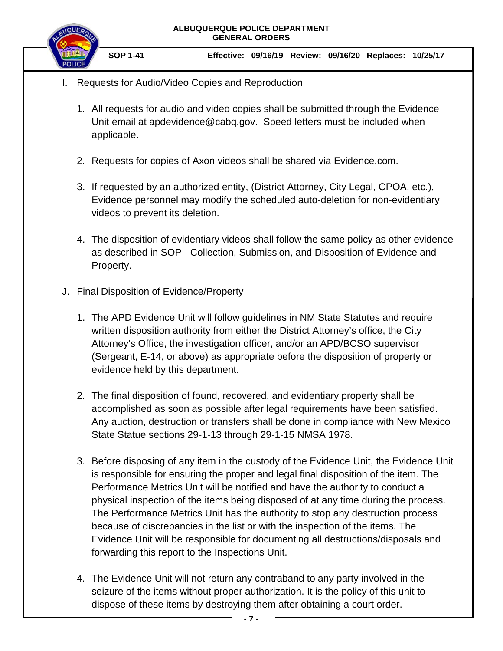- I. Requests for Audio/Video Copies and Reproduction
	- 1. All requests for audio and video copies shall be submitted through the Evidence Unit email at apdevidence@cabq.gov. Speed letters must be included when applicable.
	- 2. Requests for copies of Axon videos shall be shared via Evidence.com.
	- 3. If requested by an authorized entity, (District Attorney, City Legal, CPOA, etc.), Evidence personnel may modify the scheduled auto-deletion for non-evidentiary videos to prevent its deletion.
	- 4. The disposition of evidentiary videos shall follow the same policy as other evidence as described in SOP - Collection, Submission, and Disposition of Evidence and Property.
- J. Final Disposition of Evidence/Property
	- 1. The APD Evidence Unit will follow guidelines in NM State Statutes and require written disposition authority from either the District Attorney's office, the City Attorney's Office, the investigation officer, and/or an APD/BCSO supervisor (Sergeant, E-14, or above) as appropriate before the disposition of property or evidence held by this department.
	- 2. The final disposition of found, recovered, and evidentiary property shall be accomplished as soon as possible after legal requirements have been satisfied. Any auction, destruction or transfers shall be done in compliance with New Mexico State Statue sections 29-1-13 through 29-1-15 NMSA 1978.
	- 3. Before disposing of any item in the custody of the Evidence Unit, the Evidence Unit is responsible for ensuring the proper and legal final disposition of the item. The Performance Metrics Unit will be notified and have the authority to conduct a physical inspection of the items being disposed of at any time during the process. The Performance Metrics Unit has the authority to stop any destruction process because of discrepancies in the list or with the inspection of the items. The Evidence Unit will be responsible for documenting all destructions/disposals and forwarding this report to the Inspections Unit.
	- 4. The Evidence Unit will not return any contraband to any party involved in the seizure of the items without proper authorization. It is the policy of this unit to dispose of these items by destroying them after obtaining a court order.